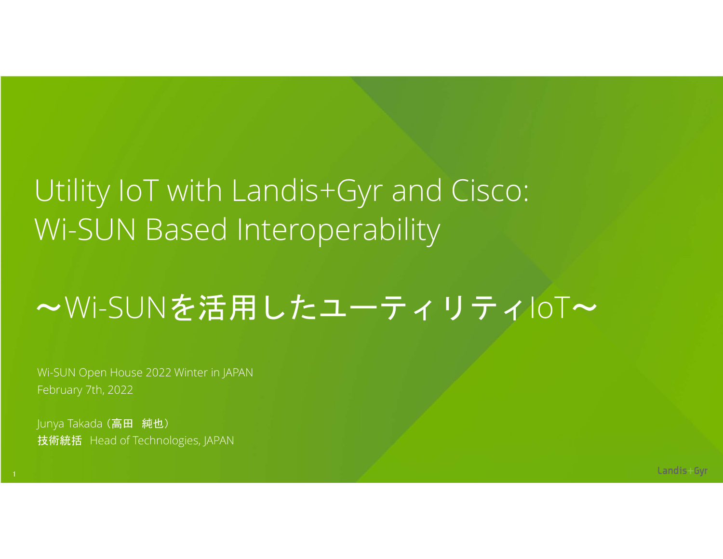### Utility IoT with Landis+Gyr and Cisco: Wi-SUN Based Interoperability

### ~Wi-SUNを活用したユーティリティIoT~

Wi-SUN Open House 2022 Winter in JAPAN February 7th, 2022

Junya Takada (高田 純也) 技術統括 Head of Technologies, JAPAN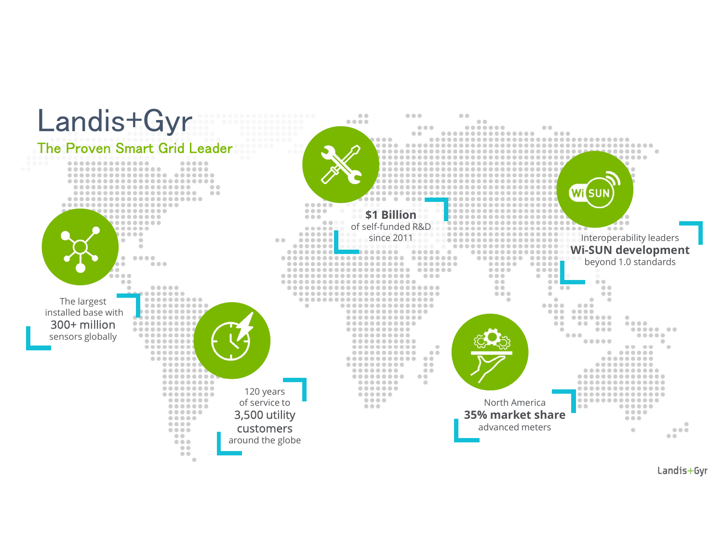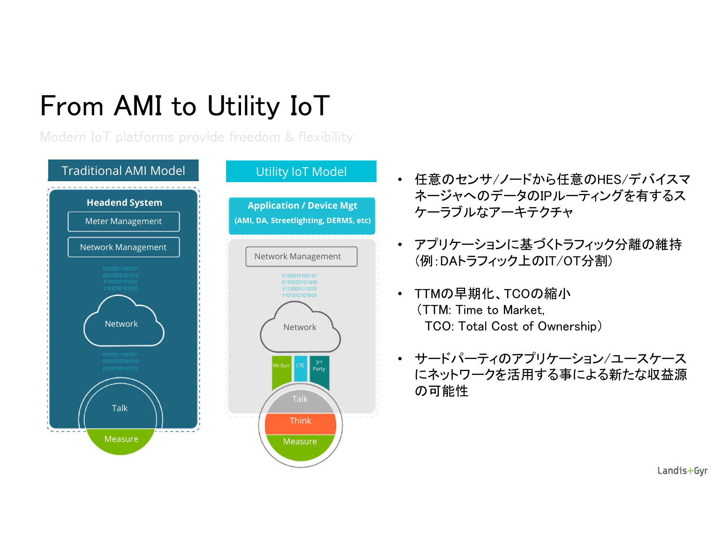### From AMI to Utility IoT

Modern IoT platforms provide freedom & flexibility



- 任意のセンサ/ノードから任意のHES/デバイスマ ネージャへのデータのIPルーティングを有するス ケーラブルなアーキテクチャ
- アプリケーションに基づくトラフィック分離の維持 (例:DAトラフィック上のIT/OT分割)
- Network **National Cost of Ownership**) • TTMの早期化、TCOの縮小 (TTM: Time to Market,
	- **̄ ̄ ̄ ̄ ・ サードパーティのアプリケーション/ユースケース** Party インストリークを活用する事による新たな収益源 の可能性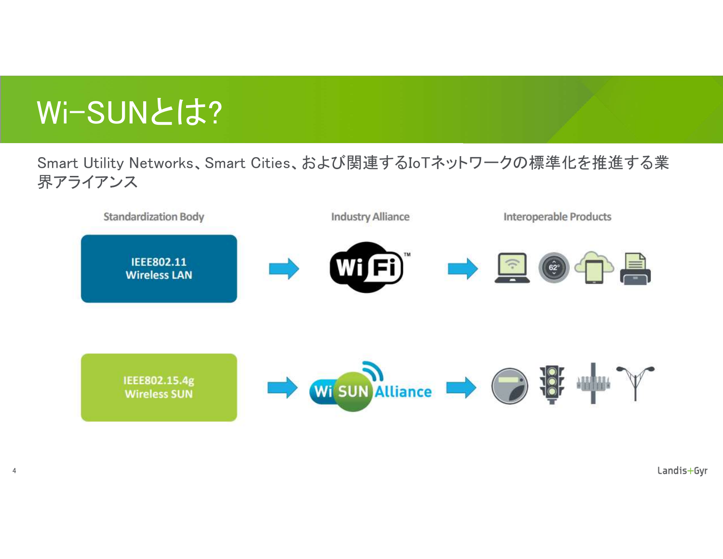## Wi-SUNとは?

4

Smart Utility Networks、Smart Cities、および関連するIoTネットワークの標準化を推進する業 界アライアンス

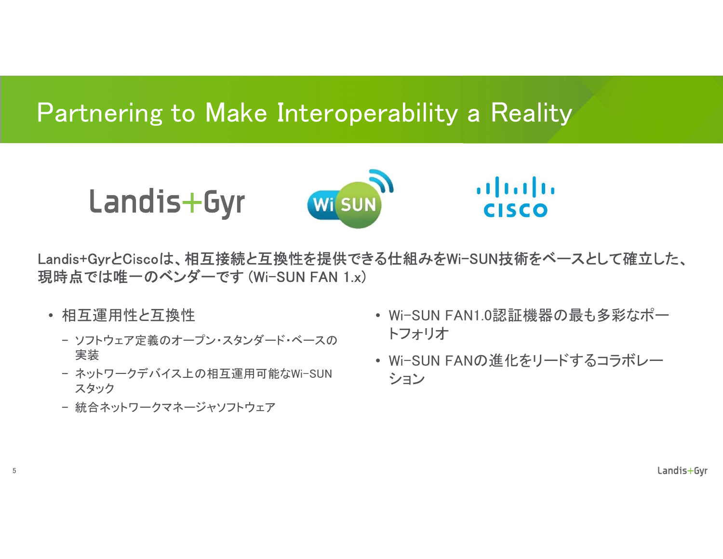#### Partnering to Make Interoperability a Reality

Landis+Gyr



 $\mathbf{d}$   $\mathbf{L}$ **CISCO** 

Landis+GyrとCiscoは、相互接続と互換性を提供できる仕組みをWi-SUN技術をベースとして確立した、 現時点では唯一のベンダーです (Wi-SUN FAN 1.x)

• 相互運用性と互換性

5

- − ソフトウェア定義のオープン・スタンダード・ベースの 実装
- − ネットワークデバイス上の相互運用可能なWi-SUN スタック
- − 統合ネットワークマネージャソフトウェア
- Wi-SUN FAN1.0認証機器の最も多彩なポー トフォリオ
- Wi-SUN FANの進化をリードするコラボレー ション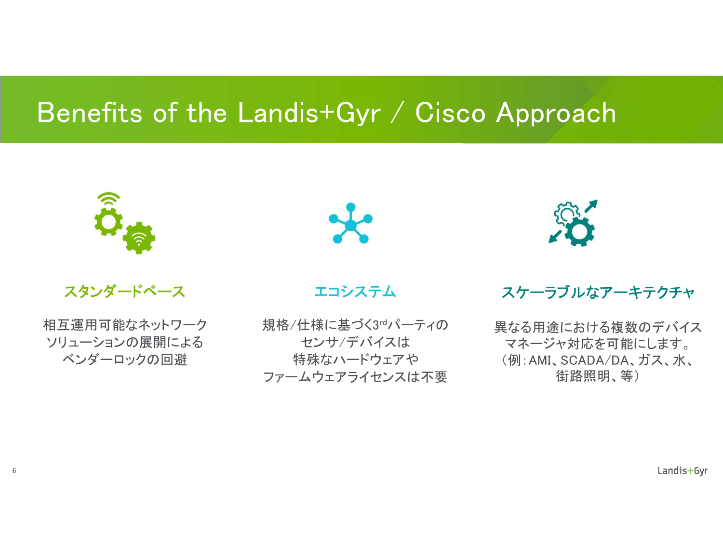### Benefits of the Landis+Gyr / Cisco Approach



スタンダードベース

相互運用可能なネットワーク ソリューションの展開による ベンダーロックの回避



エコシステム

規格/仕様に基づく3rdパーティの センサ/デバイスは 特殊なハードウェアや ファームウェアライセンスは不要



#### スケーラブルなアーキテクチャ

異なる用途における複数のデバイス マネージャ対応を可能にします。 (例:AMI、SCADA/DA、ガス、水、 街路照明、等)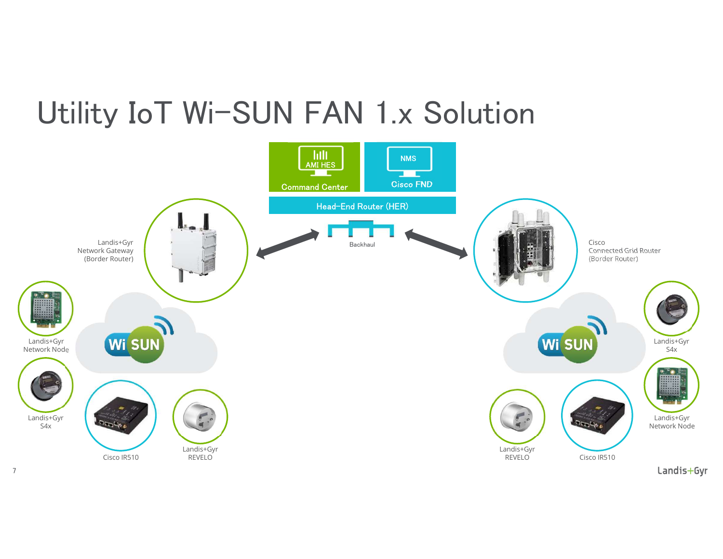### Utility IoT Wi-SUN FAN 1.x Solution



7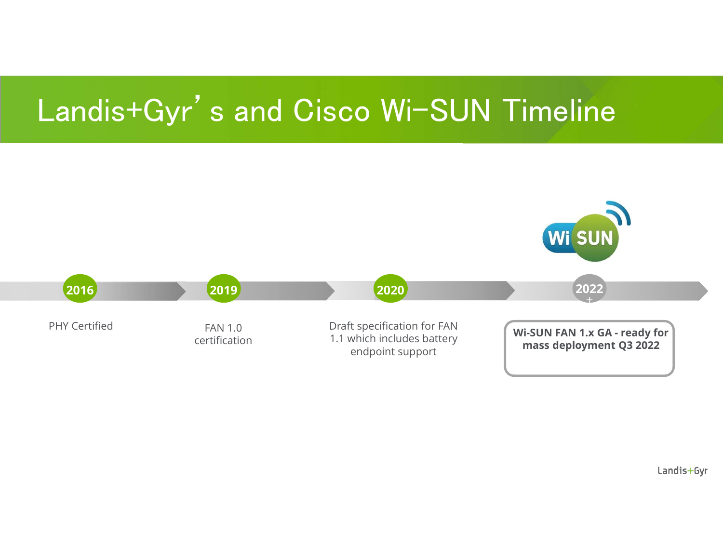### Landis+Gyr's and Cisco Wi-SUN Timeline